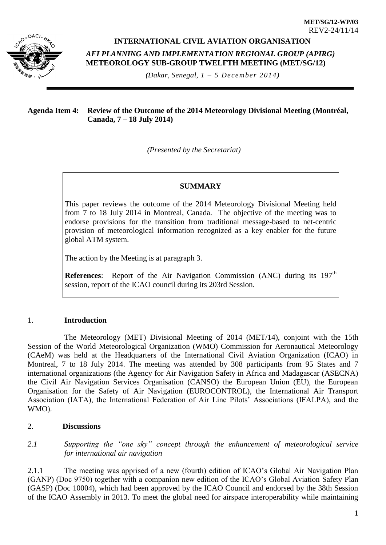

# **INTERNATIONAL CIVIL AVIATION ORGANISATION**

*AFI PLANNING AND IMPLEMENTATION REGIONAL GROUP (APIRG)* **METEOROLOGY SUB-GROUP TWELFTH MEETING (MET/SG/12)** 

*(Dakar, Senegal, 1 – 5 December 2014)*

#### **Agenda Item 4: Review of the Outcome of the 2014 Meteorology Divisional Meeting (Montréal, Canada, 7 – 18 July 2014)**

*(Presented by the Secretariat)*

# **SUMMARY**

This paper reviews the outcome of the 2014 Meteorology Divisional Meeting held from 7 to 18 July 2014 in Montreal, Canada. The objective of the meeting was to endorse provisions for the transition from traditional message-based to net-centric provision of meteorological information recognized as a key enabler for the future global ATM system.

The action by the Meeting is at paragraph 3.

**References:** Report of the Air Navigation Commission (ANC) during its 197<sup>th</sup> session, report of the ICAO council during its 203rd Session.

# 1. **Introduction**

The Meteorology (MET) Divisional Meeting of 2014 (MET/14), conjoint with the 15th Session of the World Meteorological Organization (WMO) Commission for Aeronautical Meteorology (CAeM) was held at the Headquarters of the International Civil Aviation Organization (ICAO) in Montreal, 7 to 18 July 2014. The meeting was attended by 308 participants from 95 States and 7 international organizations (the Agency for Air Navigation Safety in Africa and Madagascar (ASECNA) the Civil Air Navigation Services Organisation (CANSO) the European Union (EU), the European Organisation for the Safety of Air Navigation (EUROCONTROL), the International Air Transport Association (IATA), the International Federation of Air Line Pilots' Associations (IFALPA), and the WMO).

# 2. **Discussions**

*2.1 Supporting the "one sky" concept through the enhancement of meteorological service for international air navigation* 

2.1.1 The meeting was apprised of a new (fourth) edition of ICAO's Global Air Navigation Plan (GANP) (Doc 9750) together with a companion new edition of the ICAO's Global Aviation Safety Plan (GASP) (Doc 10004), which had been approved by the ICAO Council and endorsed by the 38th Session of the ICAO Assembly in 2013. To meet the global need for airspace interoperability while maintaining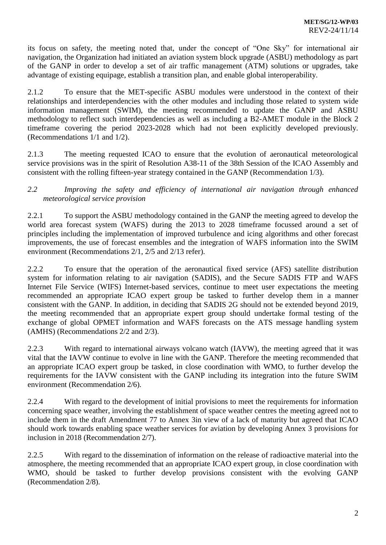its focus on safety, the meeting noted that, under the concept of "One Sky" for international air navigation, the Organization had initiated an aviation system block upgrade (ASBU) methodology as part of the GANP in order to develop a set of air traffic management (ATM) solutions or upgrades, take advantage of existing equipage, establish a transition plan, and enable global interoperability.

2.1.2 To ensure that the MET-specific ASBU modules were understood in the context of their relationships and interdependencies with the other modules and including those related to system wide information management (SWIM), the meeting recommended to update the GANP and ASBU methodology to reflect such interdependencies as well as including a B2-AMET module in the Block 2 timeframe covering the period 2023-2028 which had not been explicitly developed previously. (Recommendations 1/1 and 1/2).

2.1.3 The meeting requested ICAO to ensure that the evolution of aeronautical meteorological service provisions was in the spirit of Resolution A38-11 of the 38th Session of the ICAO Assembly and consistent with the rolling fifteen-year strategy contained in the GANP (Recommendation 1/3).

# *2.2 Improving the safety and efficiency of international air navigation through enhanced meteorological service provision*

2.2.1 To support the ASBU methodology contained in the GANP the meeting agreed to develop the world area forecast system (WAFS) during the 2013 to 2028 timeframe focussed around a set of principles including the implementation of improved turbulence and icing algorithms and other forecast improvements, the use of forecast ensembles and the integration of WAFS information into the SWIM environment (Recommendations 2/1, 2/5 and 2/13 refer).

2.2.2 To ensure that the operation of the aeronautical fixed service (AFS) satellite distribution system for information relating to air navigation (SADIS), and the Secure SADIS FTP and WAFS Internet File Service (WIFS) Internet-based services, continue to meet user expectations the meeting recommended an appropriate ICAO expert group be tasked to further develop them in a manner consistent with the GANP. In addition, in deciding that SADIS 2G should not be extended beyond 2019, the meeting recommended that an appropriate expert group should undertake formal testing of the exchange of global OPMET information and WAFS forecasts on the ATS message handling system (AMHS) (Recommendations 2/2 and 2/3).

2.2.3 With regard to international airways volcano watch (IAVW), the meeting agreed that it was vital that the IAVW continue to evolve in line with the GANP. Therefore the meeting recommended that an appropriate ICAO expert group be tasked, in close coordination with WMO, to further develop the requirements for the IAVW consistent with the GANP including its integration into the future SWIM environment (Recommendation 2/6).

2.2.4 With regard to the development of initial provisions to meet the requirements for information concerning space weather, involving the establishment of space weather centres the meeting agreed not to include them in the draft Amendment 77 to Annex 3in view of a lack of maturity but agreed that ICAO should work towards enabling space weather services for aviation by developing Annex 3 provisions for inclusion in 2018 (Recommendation 2/7).

2.2.5 With regard to the dissemination of information on the release of radioactive material into the atmosphere, the meeting recommended that an appropriate ICAO expert group, in close coordination with WMO, should be tasked to further develop provisions consistent with the evolving GANP (Recommendation 2/8).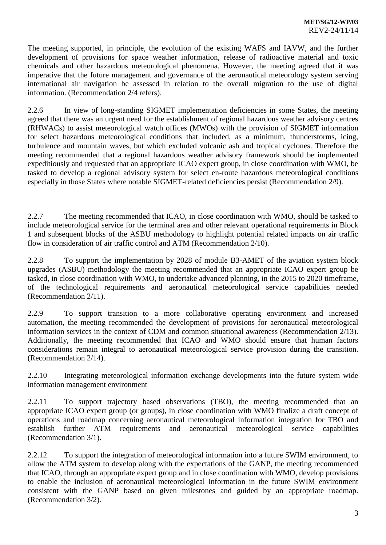The meeting supported, in principle, the evolution of the existing WAFS and IAVW, and the further development of provisions for space weather information, release of radioactive material and toxic chemicals and other hazardous meteorological phenomena. However, the meeting agreed that it was imperative that the future management and governance of the aeronautical meteorology system serving international air navigation be assessed in relation to the overall migration to the use of digital information. (Recommendation 2/4 refers).

2.2.6 In view of long-standing SIGMET implementation deficiencies in some States, the meeting agreed that there was an urgent need for the establishment of regional hazardous weather advisory centres (RHWACs) to assist meteorological watch offices (MWOs) with the provision of SIGMET information for select hazardous meteorological conditions that included, as a minimum, thunderstorms, icing, turbulence and mountain waves, but which excluded volcanic ash and tropical cyclones. Therefore the meeting recommended that a regional hazardous weather advisory framework should be implemented expeditiously and requested that an appropriate ICAO expert group, in close coordination with WMO, be tasked to develop a regional advisory system for select en-route hazardous meteorological conditions especially in those States where notable SIGMET-related deficiencies persist (Recommendation 2/9).

2.2.7 The meeting recommended that ICAO, in close coordination with WMO, should be tasked to include meteorological service for the terminal area and other relevant operational requirements in Block 1 and subsequent blocks of the ASBU methodology to highlight potential related impacts on air traffic flow in consideration of air traffic control and ATM (Recommendation 2/10).

2.2.8 To support the implementation by 2028 of module B3-AMET of the aviation system block upgrades (ASBU) methodology the meeting recommended that an appropriate ICAO expert group be tasked, in close coordination with WMO, to undertake advanced planning, in the 2015 to 2020 timeframe, of the technological requirements and aeronautical meteorological service capabilities needed (Recommendation 2/11).

2.2.9 To support transition to a more collaborative operating environment and increased automation, the meeting recommended the development of provisions for aeronautical meteorological information services in the context of CDM and common situational awareness (Recommendation 2/13). Additionally, the meeting recommended that ICAO and WMO should ensure that human factors considerations remain integral to aeronautical meteorological service provision during the transition. (Recommendation 2/14).

2.2.10 Integrating meteorological information exchange developments into the future system wide information management environment

2.2.11 To support trajectory based observations (TBO), the meeting recommended that an appropriate ICAO expert group (or groups), in close coordination with WMO finalize a draft concept of operations and roadmap concerning aeronautical meteorological information integration for TBO and establish further ATM requirements and aeronautical meteorological service capabilities (Recommendation 3/1).

2.2.12 To support the integration of meteorological information into a future SWIM environment, to allow the ATM system to develop along with the expectations of the GANP, the meeting recommended that ICAO, through an appropriate expert group and in close coordination with WMO, develop provisions to enable the inclusion of aeronautical meteorological information in the future SWIM environment consistent with the GANP based on given milestones and guided by an appropriate roadmap. (Recommendation 3/2).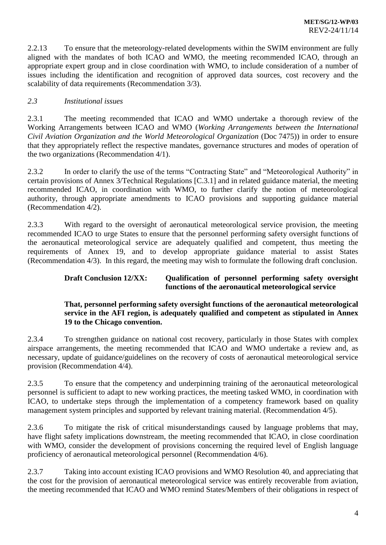2.2.13 To ensure that the meteorology-related developments within the SWIM environment are fully aligned with the mandates of both ICAO and WMO, the meeting recommended ICAO, through an appropriate expert group and in close coordination with WMO, to include consideration of a number of issues including the identification and recognition of approved data sources, cost recovery and the scalability of data requirements (Recommendation 3/3).

# *2.3 Institutional issues*

2.3.1 The meeting recommended that ICAO and WMO undertake a thorough review of the Working Arrangements between ICAO and WMO (*Working Arrangements between the International Civil Aviation Organization and the World Meteorological Organization* (Doc 7475)) in order to ensure that they appropriately reflect the respective mandates, governance structures and modes of operation of the two organizations (Recommendation 4/1).

2.3.2 In order to clarify the use of the terms "Contracting State" and "Meteorological Authority" in certain provisions of Annex 3/Technical Regulations [C.3.1] and in related guidance material, the meeting recommended ICAO, in coordination with WMO, to further clarify the notion of meteorological authority, through appropriate amendments to ICAO provisions and supporting guidance material (Recommendation 4/2).

2.3.3 With regard to the oversight of aeronautical meteorological service provision, the meeting recommended ICAO to urge States to ensure that the personnel performing safety oversight functions of the aeronautical meteorological service are adequately qualified and competent, thus meeting the requirements of Annex 19, and to develop appropriate guidance material to assist States (Recommendation 4/3). In this regard, the meeting may wish to formulate the following draft conclusion.

# **Draft Conclusion 12/XX: Qualification of personnel performing safety oversight functions of the aeronautical meteorological service**

#### **That, personnel performing safety oversight functions of the aeronautical meteorological service in the AFI region, is adequately qualified and competent as stipulated in Annex 19 to the Chicago convention.**

2.3.4 To strengthen guidance on national cost recovery, particularly in those States with complex airspace arrangements, the meeting recommended that ICAO and WMO undertake a review and, as necessary, update of guidance/guidelines on the recovery of costs of aeronautical meteorological service provision (Recommendation 4/4).

2.3.5 To ensure that the competency and underpinning training of the aeronautical meteorological personnel is sufficient to adapt to new working practices, the meeting tasked WMO, in coordination with ICAO, to undertake steps through the implementation of a competency framework based on quality management system principles and supported by relevant training material. (Recommendation 4/5).

2.3.6 To mitigate the risk of critical misunderstandings caused by language problems that may, have flight safety implications downstream, the meeting recommended that ICAO, in close coordination with WMO, consider the development of provisions concerning the required level of English language proficiency of aeronautical meteorological personnel (Recommendation 4/6).

2.3.7 Taking into account existing ICAO provisions and WMO Resolution 40, and appreciating that the cost for the provision of aeronautical meteorological service was entirely recoverable from aviation, the meeting recommended that ICAO and WMO remind States/Members of their obligations in respect of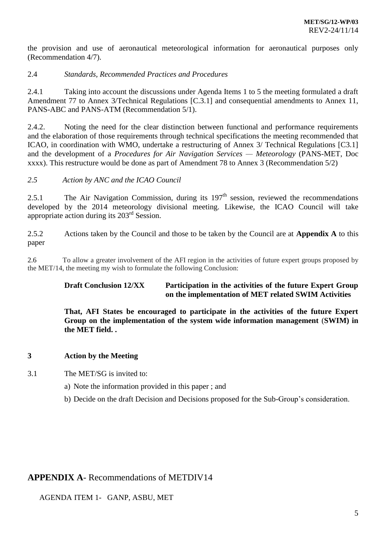the provision and use of aeronautical meteorological information for aeronautical purposes only (Recommendation 4/7).

#### 2.4 *Standards, Recommended Practices and Procedures*

2.4.1 Taking into account the discussions under Agenda Items 1 to 5 the meeting formulated a draft Amendment 77 to Annex 3/Technical Regulations [C.3.1] and consequential amendments to Annex 11, PANS-ABC and PANS-ATM (Recommendation 5/1).

2.4.2. Noting the need for the clear distinction between functional and performance requirements and the elaboration of those requirements through technical specifications the meeting recommended that ICAO, in coordination with WMO, undertake a restructuring of Annex 3/ Technical Regulations [C3.1] and the development of a *Procedures for Air Navigation Services — Meteorology* (PANS-MET, Doc xxxx). This restructure would be done as part of Amendment 78 to Annex 3 (Recommendation 5/2)

#### *2.5 Action by ANC and the ICAO Council*

2.5.1 The Air Navigation Commission, during its  $197<sup>th</sup>$  session, reviewed the recommendations developed by the 2014 meteorology divisional meeting. Likewise, the ICAO Council will take appropriate action during its 203rd Session.

2.5.2 Actions taken by the Council and those to be taken by the Council are at **Appendix A** to this paper

2.6 To allow a greater involvement of the AFI region in the activities of future expert groups proposed by the MET/14, the meeting my wish to formulate the following Conclusion:

# **Draft Conclusion 12/XX Participation in the activities of the future Expert Group on the implementation of MET related SWIM Activities**

**That, AFI States be encouraged to participate in the activities of the future Expert Group on the implementation of the system wide information management** (**SWIM) in the MET field. .** 

# **3 Action by the Meeting**

3.1 The MET/SG is invited to:

- a) Note the information provided in this paper ; and
- b) Decide on the draft Decision and Decisions proposed for the Sub-Group's consideration.

# **APPENDIX A**- Recommendations of METDIV14

AGENDA ITEM 1- GANP, ASBU, MET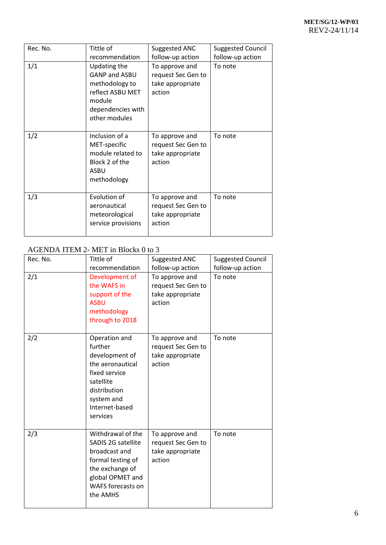| Rec. No. | Tittle of                                                                                                                  | Suggested ANC                                                      | <b>Suggested Council</b> |
|----------|----------------------------------------------------------------------------------------------------------------------------|--------------------------------------------------------------------|--------------------------|
|          | recommendation                                                                                                             | follow-up action                                                   | follow-up action         |
| 1/1      | Updating the<br><b>GANP and ASBU</b><br>methodology to<br>reflect ASBU MET<br>module<br>dependencies with<br>other modules | To approve and<br>request Sec Gen to<br>take appropriate<br>action | To note                  |
| 1/2      | Inclusion of a<br>MET-specific<br>module related to<br>Block 2 of the<br>ASBU<br>methodology                               | To approve and<br>request Sec Gen to<br>take appropriate<br>action | To note                  |
| 1/3      | Evolution of<br>aeronautical<br>meteorological<br>service provisions                                                       | To approve and<br>request Sec Gen to<br>take appropriate<br>action | To note                  |

# AGENDA ITEM 2- MET in Blocks 0 to 3

| Rec. No. | Tittle of                                                                                                                                                    | Suggested ANC                                                      | <b>Suggested Council</b> |
|----------|--------------------------------------------------------------------------------------------------------------------------------------------------------------|--------------------------------------------------------------------|--------------------------|
|          | recommendation                                                                                                                                               | follow-up action                                                   | follow-up action         |
| 2/1      | Development of<br>the WAFS in<br>support of the<br><b>ASBU</b><br>methodology<br>through to 2018                                                             | To approve and<br>request Sec Gen to<br>take appropriate<br>action | To note                  |
| 2/2      | Operation and<br>further<br>development of<br>the aeronautical<br>fixed service<br>satellite<br>distribution<br>system and<br>Internet-based<br>services     | To approve and<br>request Sec Gen to<br>take appropriate<br>action | To note                  |
| 2/3      | Withdrawal of the<br>SADIS 2G satellite<br>broadcast and<br>formal testing of<br>the exchange of<br>global OPMET and<br><b>WAFS forecasts on</b><br>the AMHS | To approve and<br>request Sec Gen to<br>take appropriate<br>action | To note                  |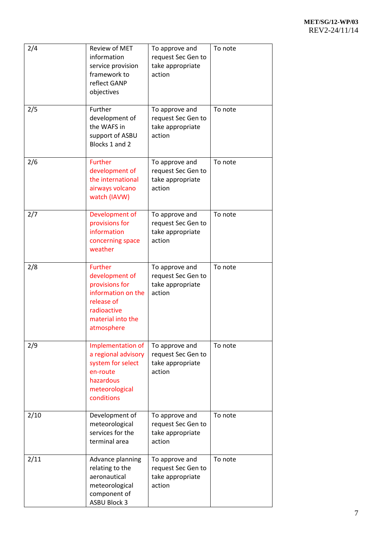| 2/4  | Review of MET<br>information<br>service provision<br>framework to<br>reflect GANP<br>objectives                                          | To approve and<br>request Sec Gen to<br>take appropriate<br>action | To note |
|------|------------------------------------------------------------------------------------------------------------------------------------------|--------------------------------------------------------------------|---------|
| 2/5  | Further<br>development of<br>the WAFS in<br>support of ASBU<br>Blocks 1 and 2                                                            | To approve and<br>request Sec Gen to<br>take appropriate<br>action | To note |
| 2/6  | <b>Further</b><br>development of<br>the international<br>airways volcano<br>watch (IAVW)                                                 | To approve and<br>request Sec Gen to<br>take appropriate<br>action | To note |
| 2/7  | Development of<br>provisions for<br>information<br>concerning space<br>weather                                                           | To approve and<br>request Sec Gen to<br>take appropriate<br>action | To note |
| 2/8  | <b>Further</b><br>development of<br>provisions for<br>information on the<br>release of<br>radioactive<br>material into the<br>atmosphere | To approve and<br>request Sec Gen to<br>take appropriate<br>action | To note |
| 2/9  | Implementation of<br>a regional advisory<br>system for select<br>en-route<br>hazardous<br>meteorological<br>conditions                   | To approve and<br>request Sec Gen to<br>take appropriate<br>action | To note |
| 2/10 | Development of<br>meteorological<br>services for the<br>terminal area                                                                    | To approve and<br>request Sec Gen to<br>take appropriate<br>action | To note |
| 2/11 | Advance planning<br>relating to the<br>aeronautical<br>meteorological<br>component of<br><b>ASBU Block 3</b>                             | To approve and<br>request Sec Gen to<br>take appropriate<br>action | To note |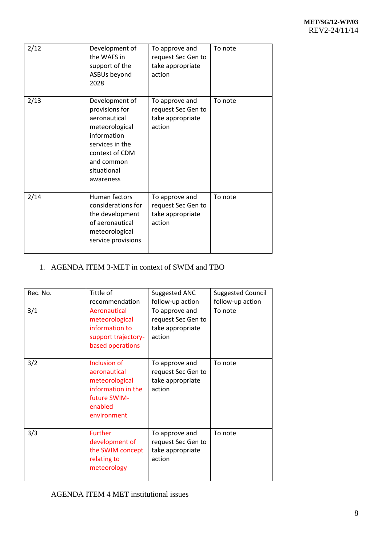| 2/12 | Development of<br>the WAFS in<br>support of the<br>ASBUs beyond<br>2028                                                                                          | To approve and<br>request Sec Gen to<br>take appropriate<br>action | To note |
|------|------------------------------------------------------------------------------------------------------------------------------------------------------------------|--------------------------------------------------------------------|---------|
| 2/13 | Development of<br>provisions for<br>aeronautical<br>meteorological<br>information<br>services in the<br>context of CDM<br>and common<br>situational<br>awareness | To approve and<br>request Sec Gen to<br>take appropriate<br>action | To note |
| 2/14 | Human factors<br>considerations for<br>the development<br>of aeronautical<br>meteorological<br>service provisions                                                | To approve and<br>request Sec Gen to<br>take appropriate<br>action | To note |

# 1. AGENDA ITEM 3-MET in context of SWIM and TBO

| Rec. No.<br>3/1 | Tittle of<br>recommendation<br>Aeronautical                                                                    | Suggested ANC<br>follow-up action<br>To approve and                | <b>Suggested Council</b><br>follow-up action<br>To note |
|-----------------|----------------------------------------------------------------------------------------------------------------|--------------------------------------------------------------------|---------------------------------------------------------|
|                 | meteorological<br>information to<br>support trajectory-<br>based operations                                    | request Sec Gen to<br>take appropriate<br>action                   |                                                         |
| 3/2             | Inclusion of<br>aeronautical<br>meteorological<br>information in the<br>future SWIM-<br>enabled<br>environment | To approve and<br>request Sec Gen to<br>take appropriate<br>action | To note                                                 |
| 3/3             | <b>Further</b><br>development of<br>the SWIM concept<br>relating to<br>meteorology                             | To approve and<br>request Sec Gen to<br>take appropriate<br>action | To note                                                 |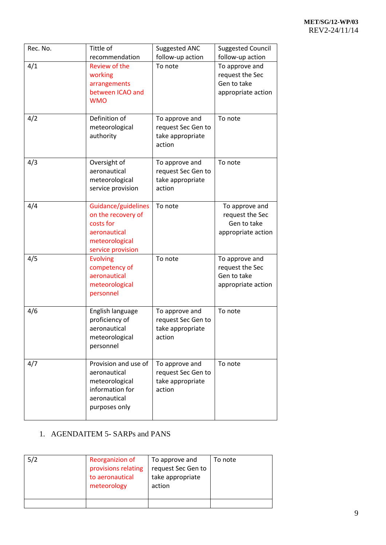| Rec. No. | Tittle of<br>recommendation                                                                                   | Suggested ANC<br>follow-up action                                  | <b>Suggested Council</b><br>follow-up action                           |
|----------|---------------------------------------------------------------------------------------------------------------|--------------------------------------------------------------------|------------------------------------------------------------------------|
| 4/1      | Review of the<br>working<br>arrangements<br>between ICAO and<br><b>WMO</b>                                    | To note                                                            | To approve and<br>request the Sec<br>Gen to take<br>appropriate action |
| 4/2      | Definition of<br>meteorological<br>authority                                                                  | To approve and<br>request Sec Gen to<br>take appropriate<br>action | To note                                                                |
| 4/3      | Oversight of<br>aeronautical<br>meteorological<br>service provision                                           | To approve and<br>request Sec Gen to<br>take appropriate<br>action | To note                                                                |
| 4/4      | Guidance/guidelines<br>on the recovery of<br>costs for<br>aeronautical<br>meteorological<br>service provision | To note                                                            | To approve and<br>request the Sec<br>Gen to take<br>appropriate action |
| 4/5      | <b>Evolving</b><br>competency of<br>aeronautical<br>meteorological<br>personnel                               | To note                                                            | To approve and<br>request the Sec<br>Gen to take<br>appropriate action |
| 4/6      | English language<br>proficiency of<br>aeronautical<br>meteorological<br>personnel                             | To approve and<br>request Sec Gen to<br>take appropriate<br>action | To note                                                                |
| 4/7      | Provision and use of<br>aeronautical<br>meteorological<br>information for<br>aeronautical<br>purposes only    | To approve and<br>request Sec Gen to<br>take appropriate<br>action | To note                                                                |

# 1. AGENDAITEM 5- SARPs and PANS

| 5/2 | Reorganizion of<br>provisions relating<br>to aeronautical<br>meteorology | To approve and<br>request Sec Gen to<br>take appropriate<br>action | To note |
|-----|--------------------------------------------------------------------------|--------------------------------------------------------------------|---------|
|     |                                                                          |                                                                    |         |